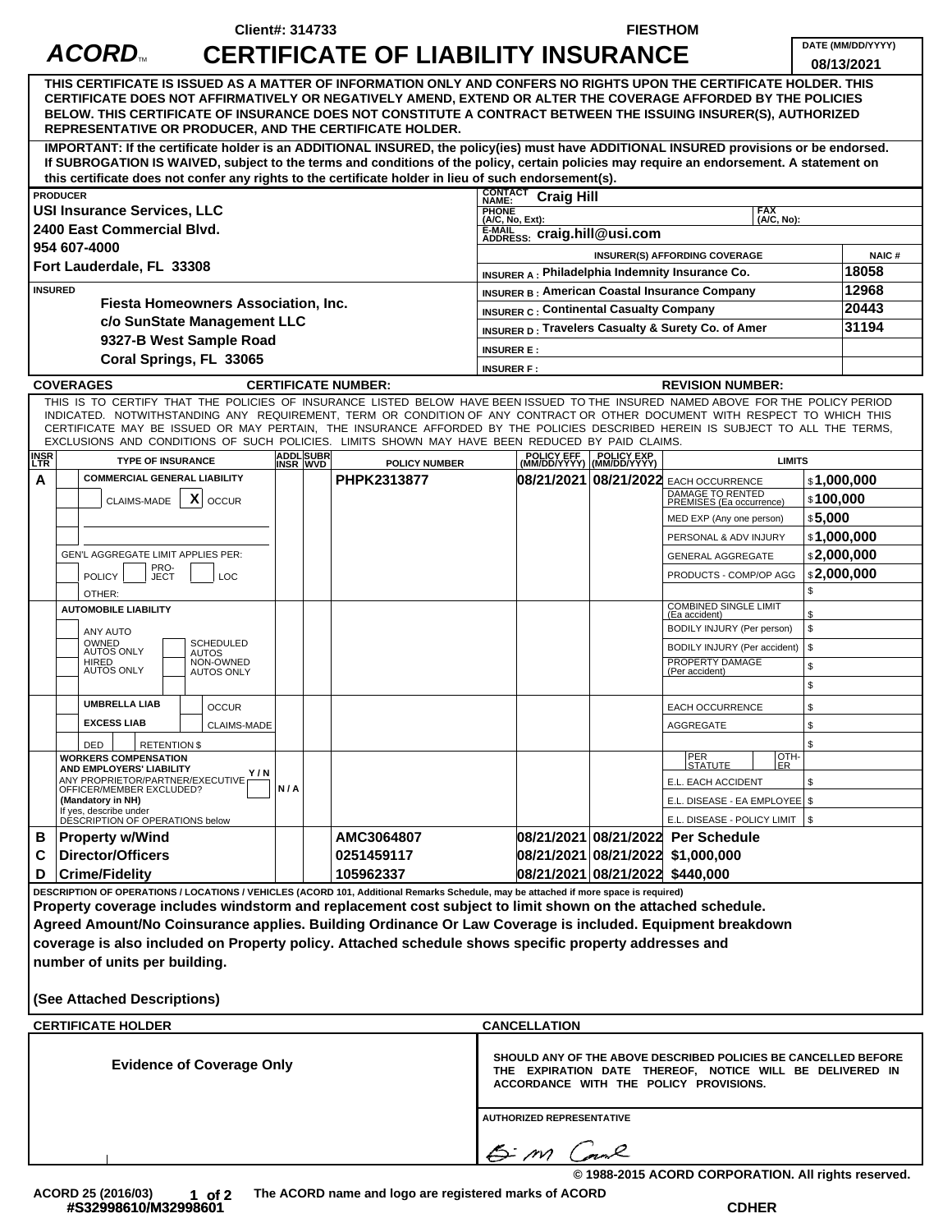|                                                                                                                                                                                                                                                                                                                                                                                                                                                                                                    |                                                                  |                                                                                                                                                                                                                    | Client#: 314733 |     |                                                                                                    |                                           |                                                                                   |                                                                | <b>FIESTHOM</b>                                 |                                                                     |                                  |                       |
|----------------------------------------------------------------------------------------------------------------------------------------------------------------------------------------------------------------------------------------------------------------------------------------------------------------------------------------------------------------------------------------------------------------------------------------------------------------------------------------------------|------------------------------------------------------------------|--------------------------------------------------------------------------------------------------------------------------------------------------------------------------------------------------------------------|-----------------|-----|----------------------------------------------------------------------------------------------------|-------------------------------------------|-----------------------------------------------------------------------------------|----------------------------------------------------------------|-------------------------------------------------|---------------------------------------------------------------------|----------------------------------|-----------------------|
| <b>ACORD.</b>                                                                                                                                                                                                                                                                                                                                                                                                                                                                                      |                                                                  |                                                                                                                                                                                                                    |                 |     |                                                                                                    | <b>CERTIFICATE OF LIABILITY INSURANCE</b> |                                                                                   |                                                                |                                                 | DATE (MM/DD/YYYY)<br>08/13/2021                                     |                                  |                       |
| THIS CERTIFICATE IS ISSUED AS A MATTER OF INFORMATION ONLY AND CONFERS NO RIGHTS UPON THE CERTIFICATE HOLDER. THIS<br>CERTIFICATE DOES NOT AFFIRMATIVELY OR NEGATIVELY AMEND, EXTEND OR ALTER THE COVERAGE AFFORDED BY THE POLICIES<br>BELOW. THIS CERTIFICATE OF INSURANCE DOES NOT CONSTITUTE A CONTRACT BETWEEN THE ISSUING INSURER(S), AUTHORIZED<br>REPRESENTATIVE OR PRODUCER, AND THE CERTIFICATE HOLDER.                                                                                   |                                                                  |                                                                                                                                                                                                                    |                 |     |                                                                                                    |                                           |                                                                                   |                                                                |                                                 |                                                                     |                                  |                       |
| IMPORTANT: If the certificate holder is an ADDITIONAL INSURED, the policy(ies) must have ADDITIONAL INSURED provisions or be endorsed.<br>If SUBROGATION IS WAIVED, subject to the terms and conditions of the policy, certain policies may require an endorsement. A statement on<br>this certificate does not confer any rights to the certificate holder in lieu of such endorsement(s).                                                                                                        |                                                                  |                                                                                                                                                                                                                    |                 |     |                                                                                                    |                                           |                                                                                   |                                                                |                                                 |                                                                     |                                  |                       |
|                                                                                                                                                                                                                                                                                                                                                                                                                                                                                                    | <b>PRODUCER</b>                                                  |                                                                                                                                                                                                                    |                 |     |                                                                                                    |                                           | <b>CONTACT</b><br>NAME:<br><b>Craig Hill</b>                                      |                                                                |                                                 |                                                                     |                                  |                       |
|                                                                                                                                                                                                                                                                                                                                                                                                                                                                                                    | <b>USI Insurance Services, LLC</b><br>2400 East Commercial Blvd. |                                                                                                                                                                                                                    |                 |     |                                                                                                    |                                           | <b>PHONE</b><br><b>FAX</b><br>(A/C, No):<br>(A/C, No, Ext):<br>E-MAIL             |                                                                |                                                 |                                                                     |                                  |                       |
| 954 607-4000                                                                                                                                                                                                                                                                                                                                                                                                                                                                                       |                                                                  |                                                                                                                                                                                                                    |                 |     |                                                                                                    | E-MAIL SS: Craig.hill@usi.com             |                                                                                   |                                                                |                                                 |                                                                     |                                  |                       |
| Fort Lauderdale, FL 33308                                                                                                                                                                                                                                                                                                                                                                                                                                                                          |                                                                  |                                                                                                                                                                                                                    |                 |     |                                                                                                    |                                           | INSURER(S) AFFORDING COVERAGE<br>INSURER A : Philadelphia Indemnity Insurance Co. |                                                                |                                                 |                                                                     |                                  | <b>NAIC#</b><br>18058 |
| <b>INSURED</b>                                                                                                                                                                                                                                                                                                                                                                                                                                                                                     |                                                                  |                                                                                                                                                                                                                    |                 |     |                                                                                                    |                                           | <b>INSURER B: American Coastal Insurance Company</b>                              |                                                                |                                                 |                                                                     |                                  | 12968                 |
|                                                                                                                                                                                                                                                                                                                                                                                                                                                                                                    |                                                                  | Fiesta Homeowners Association, Inc.                                                                                                                                                                                |                 |     |                                                                                                    |                                           |                                                                                   |                                                                | <b>INSURER C: Continental Casualty Company</b>  |                                                                     |                                  | 20443                 |
|                                                                                                                                                                                                                                                                                                                                                                                                                                                                                                    |                                                                  | c/o SunState Management LLC                                                                                                                                                                                        |                 |     |                                                                                                    |                                           | INSURER D: Travelers Casualty & Surety Co. of Amer                                |                                                                |                                                 |                                                                     |                                  | 31194                 |
|                                                                                                                                                                                                                                                                                                                                                                                                                                                                                                    |                                                                  | 9327-B West Sample Road<br>Coral Springs, FL 33065                                                                                                                                                                 |                 |     |                                                                                                    |                                           | <b>INSURER E:</b>                                                                 |                                                                |                                                 |                                                                     |                                  |                       |
|                                                                                                                                                                                                                                                                                                                                                                                                                                                                                                    |                                                                  |                                                                                                                                                                                                                    |                 |     |                                                                                                    |                                           | <b>INSURER F:</b>                                                                 |                                                                |                                                 |                                                                     |                                  |                       |
|                                                                                                                                                                                                                                                                                                                                                                                                                                                                                                    |                                                                  | <b>COVERAGES</b>                                                                                                                                                                                                   |                 |     |                                                                                                    | <b>CERTIFICATE NUMBER:</b>                |                                                                                   |                                                                |                                                 | <b>REVISION NUMBER:</b>                                             |                                  |                       |
| THIS IS TO CERTIFY THAT THE POLICIES OF INSURANCE LISTED BELOW HAVE BEEN ISSUED TO THE INSURED NAMED ABOVE FOR THE POLICY PERIOD<br>INDICATED. NOTWITHSTANDING ANY REQUIREMENT, TERM OR CONDITION OF ANY CONTRACT OR OTHER DOCUMENT WITH RESPECT TO WHICH THIS<br>CERTIFICATE MAY BE ISSUED OR MAY PERTAIN, THE INSURANCE AFFORDED BY THE POLICIES DESCRIBED HEREIN IS SUBJECT TO ALL THE TERMS,<br>EXCLUSIONS AND CONDITIONS OF SUCH POLICIES. LIMITS SHOWN MAY HAVE BEEN REDUCED BY PAID CLAIMS. |                                                                  |                                                                                                                                                                                                                    |                 |     |                                                                                                    |                                           |                                                                                   |                                                                |                                                 |                                                                     |                                  |                       |
| <b>INSR</b><br>LTR                                                                                                                                                                                                                                                                                                                                                                                                                                                                                 |                                                                  | <b>TYPE OF INSURANCE</b>                                                                                                                                                                                           |                 |     | <b>ADDL SUBR</b><br>INSR WVD                                                                       | <b>POLICY NUMBER</b>                      |                                                                                   | <b>POLICY EFF</b>                                              | <b>POLICY EXP</b><br>(MM/DD/YYYY)  (MM/DD/YYYY) | <b>LIMITS</b>                                                       |                                  |                       |
| Α                                                                                                                                                                                                                                                                                                                                                                                                                                                                                                  |                                                                  | <b>COMMERCIAL GENERAL LIABILITY</b>                                                                                                                                                                                |                 |     |                                                                                                    | PHPK2313877                               |                                                                                   |                                                                |                                                 | 08/21/2021 08/21/2022 EACH OCCURRENCE                               | \$1,000,000                      |                       |
|                                                                                                                                                                                                                                                                                                                                                                                                                                                                                                    |                                                                  | $\mathbf{x}$<br>CLAIMS-MADE<br><b>OCCUR</b>                                                                                                                                                                        |                 |     |                                                                                                    |                                           |                                                                                   |                                                                |                                                 | DAMAGE TO RENTED<br>PREMISES (Ea occurrence)                        | \$100,000                        |                       |
|                                                                                                                                                                                                                                                                                                                                                                                                                                                                                                    |                                                                  |                                                                                                                                                                                                                    |                 |     |                                                                                                    |                                           |                                                                                   |                                                                |                                                 | MED EXP (Any one person)                                            | \$5,000                          |                       |
|                                                                                                                                                                                                                                                                                                                                                                                                                                                                                                    |                                                                  | GEN'L AGGREGATE LIMIT APPLIES PER:                                                                                                                                                                                 |                 |     |                                                                                                    |                                           |                                                                                   |                                                                |                                                 | PERSONAL & ADV INJURY                                               | \$1,000,000                      |                       |
|                                                                                                                                                                                                                                                                                                                                                                                                                                                                                                    |                                                                  | PRO-<br><b>POLICY</b><br><b>JECT</b>                                                                                                                                                                               | LOC             |     |                                                                                                    |                                           |                                                                                   |                                                                |                                                 | <b>GENERAL AGGREGATE</b><br>PRODUCTS - COMP/OP AGG                  | \$2,000,000<br>\$2,000,000<br>\$ |                       |
|                                                                                                                                                                                                                                                                                                                                                                                                                                                                                                    |                                                                  | OTHER:<br><b>AUTOMOBILE LIABILITY</b>                                                                                                                                                                              |                 |     |                                                                                                    |                                           |                                                                                   |                                                                |                                                 | <b>COMBINED SINGLE LIMIT</b>                                        |                                  |                       |
|                                                                                                                                                                                                                                                                                                                                                                                                                                                                                                    |                                                                  | ANY AUTO                                                                                                                                                                                                           |                 |     |                                                                                                    |                                           |                                                                                   |                                                                |                                                 | (Ea accident)<br>BODILY INJURY (Per person)                         | \$<br>\$                         |                       |
|                                                                                                                                                                                                                                                                                                                                                                                                                                                                                                    |                                                                  | OWNED<br><b>SCHEDULED</b><br>AUTOS ONLY<br>AUTOS                                                                                                                                                                   |                 |     |                                                                                                    |                                           |                                                                                   |                                                                |                                                 | BODILY INJURY (Per accident)                                        | \$                               |                       |
|                                                                                                                                                                                                                                                                                                                                                                                                                                                                                                    |                                                                  | NON-OWNED<br>HIRED<br><b>AUTOS ONLY</b><br><b>AUTOS ONLY</b>                                                                                                                                                       |                 |     |                                                                                                    |                                           |                                                                                   |                                                                |                                                 | PROPERTY DAMAGE<br>(Per accident)                                   | \$                               |                       |
|                                                                                                                                                                                                                                                                                                                                                                                                                                                                                                    |                                                                  |                                                                                                                                                                                                                    |                 |     |                                                                                                    |                                           |                                                                                   |                                                                |                                                 |                                                                     | \$                               |                       |
|                                                                                                                                                                                                                                                                                                                                                                                                                                                                                                    |                                                                  | <b>UMBRELLA LIAB</b><br><b>OCCUR</b>                                                                                                                                                                               |                 |     |                                                                                                    |                                           |                                                                                   |                                                                |                                                 | <b>EACH OCCURRENCE</b>                                              | \$                               |                       |
|                                                                                                                                                                                                                                                                                                                                                                                                                                                                                                    |                                                                  | <b>EXCESS LIAB</b>                                                                                                                                                                                                 | CLAIMS-MADE     |     |                                                                                                    |                                           |                                                                                   |                                                                |                                                 | AGGREGATE                                                           | \$                               |                       |
|                                                                                                                                                                                                                                                                                                                                                                                                                                                                                                    |                                                                  | DED<br><b>RETENTION \$</b>                                                                                                                                                                                         |                 |     |                                                                                                    |                                           |                                                                                   |                                                                |                                                 | OTH-                                                                | \$                               |                       |
|                                                                                                                                                                                                                                                                                                                                                                                                                                                                                                    |                                                                  | <b>WORKERS COMPENSATION</b><br>AND EMPLOYERS' LIABILITY                                                                                                                                                            | Y/N             |     |                                                                                                    |                                           |                                                                                   |                                                                |                                                 | PER<br>STATUTE<br>ĖR.                                               |                                  |                       |
|                                                                                                                                                                                                                                                                                                                                                                                                                                                                                                    |                                                                  | ANY PROPRIETOR/PARTNER/EXECUTIVE<br>OFFICER/MEMBER EXCLUDED?                                                                                                                                                       |                 | N/A |                                                                                                    |                                           |                                                                                   |                                                                |                                                 | E.L. EACH ACCIDENT                                                  | \$                               |                       |
|                                                                                                                                                                                                                                                                                                                                                                                                                                                                                                    |                                                                  | (Mandatory in NH)<br>If yes, describe under                                                                                                                                                                        |                 |     |                                                                                                    |                                           |                                                                                   |                                                                |                                                 | E.L. DISEASE - EA EMPLOYEE   \$<br>E.L. DISEASE - POLICY LIMIT   \$ |                                  |                       |
| В                                                                                                                                                                                                                                                                                                                                                                                                                                                                                                  |                                                                  | DESCRIPTION OF OPERATIONS below<br><b>Property w/Wind</b>                                                                                                                                                          |                 |     |                                                                                                    | AMC3064807                                |                                                                                   |                                                                |                                                 | 08/21/2021 08/21/2022 Per Schedule                                  |                                  |                       |
| C                                                                                                                                                                                                                                                                                                                                                                                                                                                                                                  |                                                                  | Director/Officers                                                                                                                                                                                                  |                 |     |                                                                                                    | 0251459117                                |                                                                                   |                                                                |                                                 | 08/21/2021 08/21/2022 \$1,000,000                                   |                                  |                       |
| D                                                                                                                                                                                                                                                                                                                                                                                                                                                                                                  |                                                                  | <b>Crime/Fidelity</b>                                                                                                                                                                                              |                 |     |                                                                                                    | 105962337                                 |                                                                                   |                                                                | 08/21/2021 08/21/2022 \$440,000                 |                                                                     |                                  |                       |
|                                                                                                                                                                                                                                                                                                                                                                                                                                                                                                    |                                                                  | DESCRIPTION OF OPERATIONS / LOCATIONS / VEHICLES (ACORD 101, Additional Remarks Schedule, may be attached if more space is required)                                                                               |                 |     |                                                                                                    |                                           |                                                                                   |                                                                |                                                 |                                                                     |                                  |                       |
|                                                                                                                                                                                                                                                                                                                                                                                                                                                                                                    |                                                                  | Property coverage includes windstorm and replacement cost subject to limit shown on the attached schedule.                                                                                                         |                 |     |                                                                                                    |                                           |                                                                                   |                                                                |                                                 |                                                                     |                                  |                       |
|                                                                                                                                                                                                                                                                                                                                                                                                                                                                                                    |                                                                  | Agreed Amount/No Coinsurance applies. Building Ordinance Or Law Coverage is included. Equipment breakdown<br>coverage is also included on Property policy. Attached schedule shows specific property addresses and |                 |     |                                                                                                    |                                           |                                                                                   |                                                                |                                                 |                                                                     |                                  |                       |
|                                                                                                                                                                                                                                                                                                                                                                                                                                                                                                    |                                                                  | number of units per building.                                                                                                                                                                                      |                 |     |                                                                                                    |                                           |                                                                                   |                                                                |                                                 |                                                                     |                                  |                       |
|                                                                                                                                                                                                                                                                                                                                                                                                                                                                                                    |                                                                  |                                                                                                                                                                                                                    |                 |     |                                                                                                    |                                           |                                                                                   |                                                                |                                                 |                                                                     |                                  |                       |
| (See Attached Descriptions)                                                                                                                                                                                                                                                                                                                                                                                                                                                                        |                                                                  |                                                                                                                                                                                                                    |                 |     |                                                                                                    |                                           |                                                                                   |                                                                |                                                 |                                                                     |                                  |                       |
| <b>CANCELLATION</b>                                                                                                                                                                                                                                                                                                                                                                                                                                                                                |                                                                  |                                                                                                                                                                                                                    |                 |     |                                                                                                    |                                           |                                                                                   |                                                                |                                                 |                                                                     |                                  |                       |
| <b>CERTIFICATE HOLDER</b><br><b>Evidence of Coverage Only</b>                                                                                                                                                                                                                                                                                                                                                                                                                                      |                                                                  |                                                                                                                                                                                                                    |                 |     |                                                                                                    |                                           |                                                                                   | SHOULD ANY OF THE ABOVE DESCRIBED POLICIES BE CANCELLED BEFORE |                                                 |                                                                     |                                  |                       |
|                                                                                                                                                                                                                                                                                                                                                                                                                                                                                                    |                                                                  |                                                                                                                                                                                                                    |                 |     | THE EXPIRATION DATE THEREOF, NOTICE WILL BE DELIVERED IN<br>ACCORDANCE WITH THE POLICY PROVISIONS. |                                           |                                                                                   |                                                                |                                                 |                                                                     |                                  |                       |
|                                                                                                                                                                                                                                                                                                                                                                                                                                                                                                    |                                                                  |                                                                                                                                                                                                                    |                 |     |                                                                                                    | <b>AUTHORIZED REPRESENTATIVE</b>          |                                                                                   |                                                                |                                                 |                                                                     |                                  |                       |

**© 1988-2015 ACORD CORPORATION. All rights reserved.**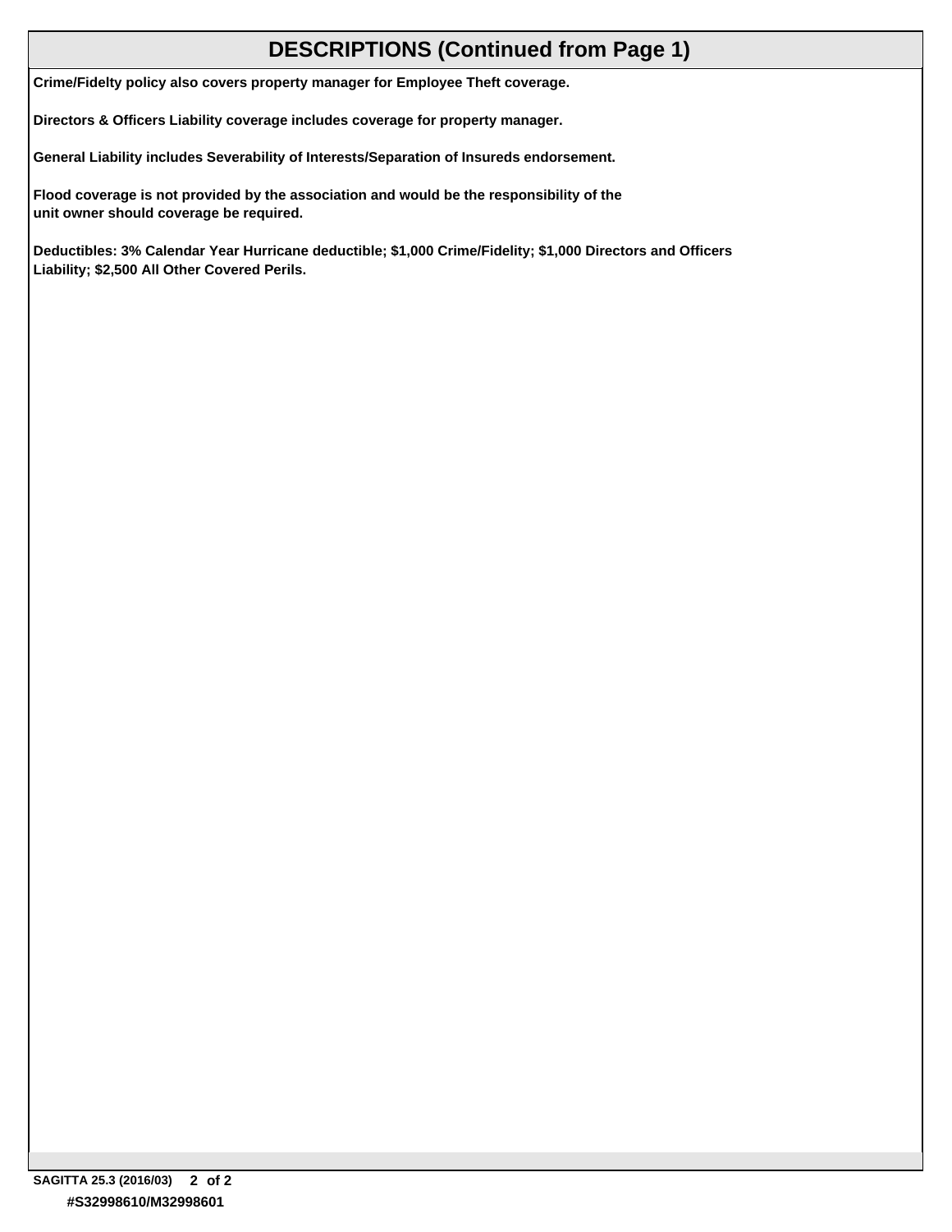## **DESCRIPTIONS (Continued from Page 1)**

**Crime/Fidelty policy also covers property manager for Employee Theft coverage.** 

**Directors & Officers Liability coverage includes coverage for property manager.** 

**General Liability includes Severability of Interests/Separation of Insureds endorsement.** 

**Flood coverage is not provided by the association and would be the responsibility of the unit owner should coverage be required.** 

**Deductibles: 3% Calendar Year Hurricane deductible; \$1,000 Crime/Fidelity; \$1,000 Directors and Officers Liability; \$2,500 All Other Covered Perils.**